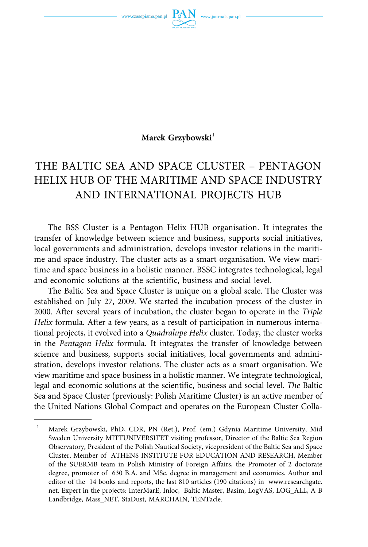www.czasopisma.pan.pl



Marek Grzybowski<sup>1</sup>

# THE BALTIC SEA AND SPACE CLUSTER – PENTAGON HELIX HUB OF THE MARITIME AND SPACE INDUSTRY AND INTERNATIONAL PROJECTS HUB

The BSS Cluster is a Pentagon Helix HUB organisation. It integrates the transfer of knowledge between science and business, supports social initiatives, local governments and administration, develops investor relations in the maritime and space industry. The cluster acts as a smart organisation. We view maritime and space business in a holistic manner. BSSC integrates technological, legal and economic solutions at the scientific, business and social level.

The Baltic Sea and Space Cluster is unique on a global scale. The Cluster was established on July 27, 2009. We started the incubation process of the cluster in 2000. After several years of incubation, the cluster began to operate in the *Triple Helix* formula. After a few years, as a result of participation in numerous international projects, it evolved into a *Quadralupe Helix* cluster. Today, the cluster works in the *Pentagon Helix* formula. It integrates the transfer of knowledge between science and business, supports social initiatives, local governments and administration, develops investor relations. The cluster acts as a smart organisation. We view maritime and space business in a holistic manner. We integrate technological, legal and economic solutions at the scientific, business and social level. *The* Baltic Sea and Space Cluster (previously: Polish Maritime Cluster) is an active member of the United Nations Global Compact and operates on the European Cluster Colla-

<sup>&</sup>lt;sup>1</sup> Marek Grzybowski, PhD, CDR, PN (Ret.), Prof. (em.) Gdynia Maritime University, Mid Sweden University MITTUNIVERSITET visiting professor, Director of the Baltic Sea Region Observatory, President of the Polish Nautical Society, vicepresident of the Baltic Sea and Space Cluster, Member of ATHENS INSTITUTE FOR EDUCATION AND RESEARCH, Member of the SUERMB team in Polish Ministry of Foreign Affairs, the Promoter of 2 doctorate degree, promoter of 630 B.A. and MSc. degree in management and economics. Author and editor of the 14 books and reports, the last 810 articles (190 citations) in www.researchgate. net. Expert in the projects: InterMarE, Inloc, Baltic Master, Basim, LogVAS, LOG\_ALL, A-B Landbridge, Mass\_NET, StaDust, MARCHAIN, TENTacle.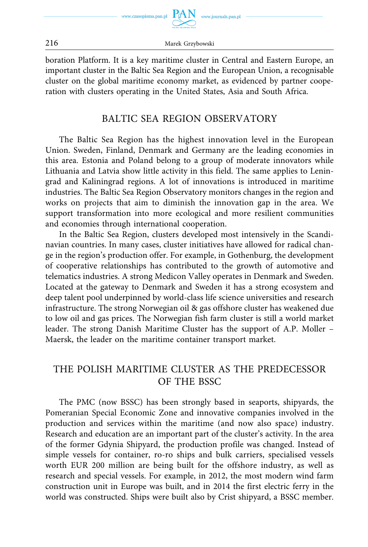

boration Platform. It is a key maritime cluster in Central and Eastern Europe, an important cluster in the Baltic Sea Region and the European Union, a recognisable cluster on the global maritime economy market, as evidenced by partner cooperation with clusters operating in the United States, Asia and South Africa.

### BALTIC SEA REGION OBSERVATORY

The Baltic Sea Region has the highest innovation level in the European Union. Sweden, Finland, Denmark and Germany are the leading economies in this area. Estonia and Poland belong to a group of moderate innovators while Lithuania and Latvia show little activity in this field. The same applies to Leningrad and Kaliningrad regions. A lot of innovations is introduced in maritime industries. The Baltic Sea Region Observatory monitors changes in the region and works on projects that aim to diminish the innovation gap in the area. We support transformation into more ecological and more resilient communities and economies through international cooperation.

In the Baltic Sea Region, clusters developed most intensively in the Scandinavian countries. In many cases, cluster initiatives have allowed for radical change in the region's production offer. For example, in Gothenburg, the development of cooperative relationships has contributed to the growth of automotive and telematics industries. A strong Medicon Valley operates in Denmark and Sweden. Located at the gateway to Denmark and Sweden it has a strong ecosystem and deep talent pool underpinned by world-class life science universities and research infrastructure. The strong Norwegian oil & gas offshore cluster has weakened due to low oil and gas prices. The Norwegian fish farm cluster is still a world market leader. The strong Danish Maritime Cluster has the support of A.P. Moller – Maersk, the leader on the maritime container transport market.

## THE POLISH MARITIME CLUSTER AS THE PREDECESSOR OF THE BSSC

The PMC (now BSSC) has been strongly based in seaports, shipyards, the Pomeranian Special Economic Zone and innovative companies involved in the production and services within the maritime (and now also space) industry. Research and education are an important part of the cluster's activity. In the area of the former Gdynia Shipyard, the production profile was changed. Instead of simple vessels for container, ro-ro ships and bulk carriers, specialised vessels worth EUR 200 million are being built for the offshore industry, as well as research and special vessels. For example, in 2012, the most modern wind farm construction unit in Europe was built, and in 2014 the first electric ferry in the world was constructed. Ships were built also by Crist shipyard, a BSSC member.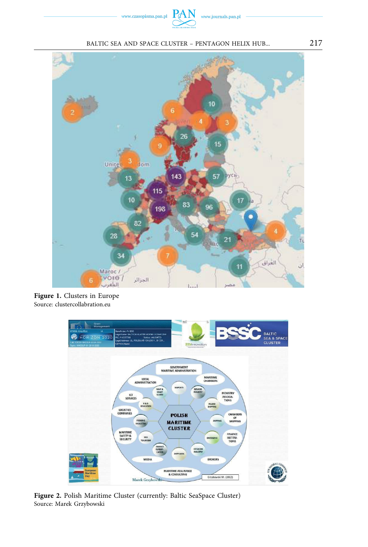





**Figure 1.** Clusters in Europe Source: clustercollabration.eu



**Figure 2.** Polish Maritime Cluster (currently: Baltic SeaSpace Cluster) Source: Marek Grzybowski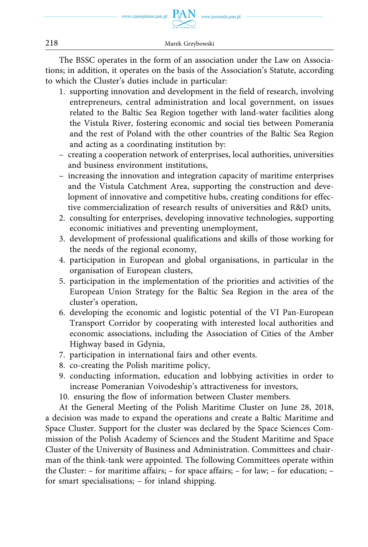

The BSSC operates in the form of an association under the Law on Associations; in addition, it operates on the basis of the Association's Statute, according to which the Cluster's duties include in particular:

- 1. supporting innovation and development in the field of research, involving entrepreneurs, central administration and local government, on issues related to the Baltic Sea Region together with land-water facilities along the Vistula River, fostering economic and social ties between Pomerania and the rest of Poland with the other countries of the Baltic Sea Region and acting as a coordinating institution by:
- creating a cooperation network of enterprises, local authorities, universities and business environment institutions,
- increasing the innovation and integration capacity of maritime enterprises and the Vistula Catchment Area, supporting the construction and development of innovative and competitive hubs, creating conditions for effective commercialization of research results of universities and R&D units,
- 2. consulting for enterprises, developing innovative technologies, supporting economic initiatives and preventing unemployment,
- 3. development of professional qualifications and skills of those working for the needs of the regional economy,
- 4. participation in European and global organisations, in particular in the organisation of European clusters,
- 5. participation in the implementation of the priorities and activities of the European Union Strategy for the Baltic Sea Region in the area of the cluster's operation,
- 6. developing the economic and logistic potential of the VI Pan-European Transport Corridor by cooperating with interested local authorities and economic associations, including the Association of Cities of the Amber Highway based in Gdynia,
- 7. participation in international fairs and other events.
- 8. co-creating the Polish maritime policy,
- 9. conducting information, education and lobbying activities in order to increase Pomeranian Voivodeship's attractiveness for investors,
- 10. ensuring the flow of information between Cluster members.

At the General Meeting of the Polish Maritime Cluster on June 28, 2018, a decision was made to expand the operations and create a Baltic Maritime and Space Cluster. Support for the cluster was declared by the Space Sciences Commission of the Polish Academy of Sciences and the Student Maritime and Space Cluster of the University of Business and Administration. Committees and chairman of the think-tank were appointed. The following Committees operate within the Cluster: – for maritime affairs; – for space affairs; – for law; – for education; – for smart specialisations; – for inland shipping.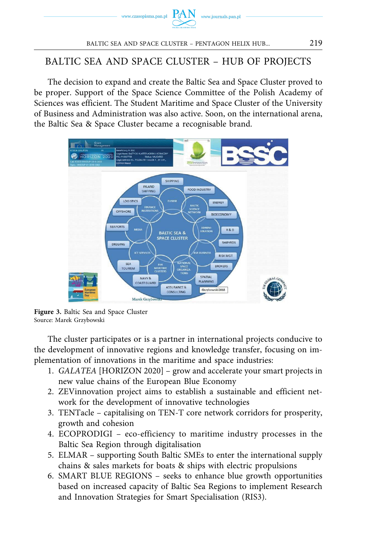

### BALTIC SEA AND SPACE CLUSTER – HUB OF PROJECTS

The decision to expand and create the Baltic Sea and Space Cluster proved to be proper. Support of the Space Science Committee of the Polish Academy of Sciences was efficient. The Student Maritime and Space Cluster of the University of Business and Administration was also active. Soon, on the international arena, the Baltic Sea & Space Cluster became a recognisable brand.



**Figure 3.** Baltic Sea and Space Cluster Source: Marek Grzybowski

The cluster participates or is a partner in international projects conducive to the development of innovative regions and knowledge transfer, focusing on implementation of innovations in the maritime and space industries:

- 1. *GALATEA* [HORIZON 2020] grow and accelerate your smart projects in new value chains of the European Blue Economy
- 2. ZEVinnovation project aims to establish a sustainable and efficient network for the development of innovative technologies
- 3. TENTacle capitalising on TEN-T core network corridors for prosperity, growth and cohesion
- 4. ECOPRODIGI eco-efficiency to maritime industry processes in the Baltic Sea Region through digitalisation
- 5. ELMAR supporting South Baltic SMEs to enter the international supply chains & sales markets for boats & ships with electric propulsions
- 6. SMART BLUE REGIONS seeks to enhance blue growth opportunities based on increased capacity of Baltic Sea Regions to implement Research and Innovation Strategies for Smart Specialisation (RIS3).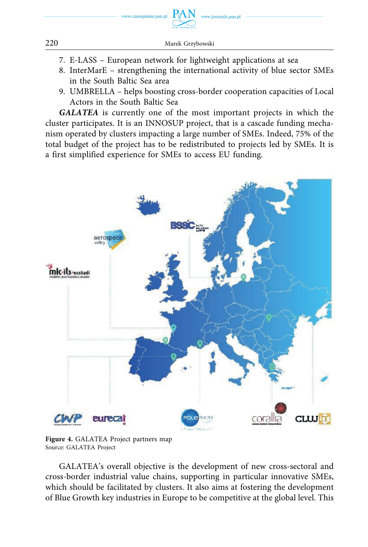

- 7. E-LASS European network for lightweight applications at sea
- 8. InterMarE strengthening the international activity of blue sector SMEs in the South Baltic Sea area
- 9. UMBRELLA helps boosting cross-border cooperation capacities of Local Actors in the South Baltic Sea

*GALATEA* is currently one of the most important projects in which the cluster participates. It is an INNOSUP project, that is a cascade funding mechanism operated by clusters impacting a large number of SMEs. Indeed, 75% of the total budget of the project has to be redistributed to projects led by SMEs. It is a first simplified experience for SMEs to access EU funding.



**Figure 4.** GALATEA Project partners map Source: GALATEA Project

GALATEA's overall objective is the development of new cross-sectoral and cross-border industrial value chains, supporting in particular innovative SMEs, which should be facilitated by clusters. It also aims at fostering the development of Blue Growth key industries in Europe to be competitive at the global level. This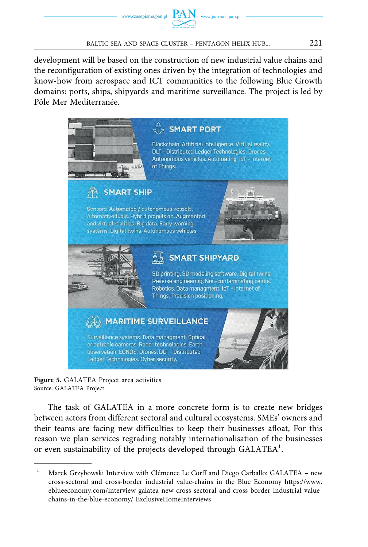development will be based on the construction of new industrial value chains and the reconfiguration of existing ones driven by the integration of technologies and know-how from aerospace and ICT communities to the following Blue Growth domains: ports, ships, shipyards and maritime surveillance. The project is led by Pôle Mer Mediterranée.



**Figure 5.** GALATEA Project area activities Source: GALATEA Project

The task of GALATEA in a more concrete form is to create new bridges between actors from different sectoral and cultural ecosystems. SMEs' owners and their teams are facing new difficulties to keep their businesses afloat, For this reason we plan services regrading notably internationalisation of the businesses or even sustainability of the projects developed through GALATEA<sup>1</sup>.

<sup>&</sup>lt;sup>1</sup> Marek Grzybowski Interview with Clémence Le Corff and Diego Carballo: GALATEA - new cross-sectoral and cross-border industrial value-chains in the Blue Economy [https://www.](https://www.eblueeconomy.com/interview-galatea-new-cross-sectoral-and-cross-border-industrial-value-chains-in-the-blue-economy/)  [eblueeconomy.com/interview-galatea-new-cross-sectoral-and-cross-border-industrial-value](https://www.eblueeconomy.com/interview-galatea-new-cross-sectoral-and-cross-border-industrial-value-chains-in-the-blue-economy/)[chains-in-the-blue-economy/](https://www.eblueeconomy.com/interview-galatea-new-cross-sectoral-and-cross-border-industrial-value-chains-in-the-blue-economy/) ExclusiveHomeInterviews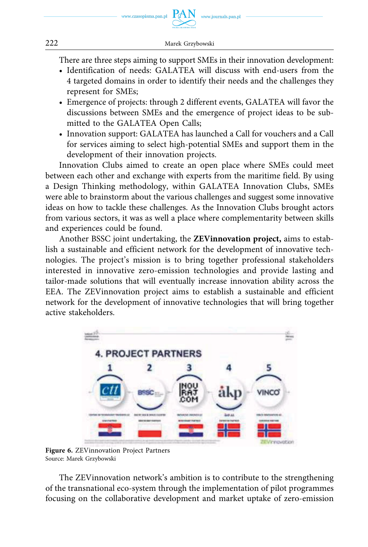There are three steps aiming to support SMEs in their innovation development:

- Identification of needs: GALATEA will discuss with end-users from the 4 targeted domains in order to identify their needs and the challenges they represent for SMEs;
- Emergence of projects: through 2 different events, GALATEA will favor the discussions between SMEs and the emergence of project ideas to be submitted to the GALATEA Open Calls;
- Innovation support: GALATEA has launched a Call for vouchers and a Call for services aiming to select high-potential SMEs and support them in the development of their innovation projects.

Innovation Clubs aimed to create an open place where SMEs could meet between each other and exchange with experts from the maritime field. By using a Design Thinking methodology, within GALATEA Innovation Clubs, SMEs were able to brainstorm about the various challenges and suggest some innovative ideas on how to tackle these challenges. As the Innovation Clubs brought actors from various sectors, it was as well a place where complementarity between skills and experiences could be found.

Another BSSC joint undertaking, the **ZEVinnovation project,** aims to establish a sustainable and efficient network for the development of innovative technologies. The project's mission is to bring together professional stakeholders interested in innovative zero-emission technologies and provide lasting and tailor-made solutions that will eventually increase innovation ability across the EEA. The ZEVinnovation project aims to establish a sustainable and efficient network for the development of innovative technologies that will bring together active stakeholders.



**Figure 6.** ZEVinnovation Project Partners Source: Marek Grzybowski

The ZEVinnovation network's ambition is to contribute to the strengthening of the transnational eco-system through the implementation of pilot programmes focusing on the collaborative development and market uptake of zero-emission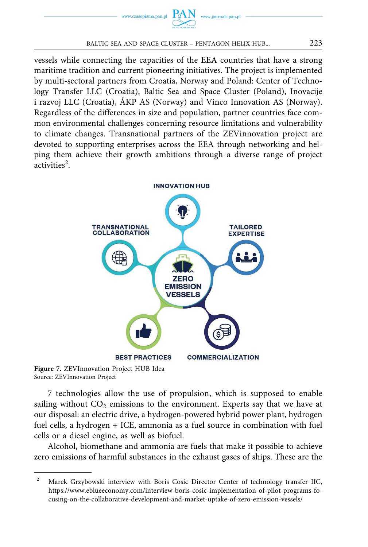

vessels while connecting the capacities of the EEA countries that have a strong maritime tradition and current pioneering initiatives. The project is implemented by multi-sectoral partners from Croatia, Norway and Poland: Center of Technology Transfer LLC (Croatia), Baltic Sea and Space Cluster (Poland), Inovacije i razvoj LLC (Croatia), ÅKP AS (Norway) and Vinco Innovation AS (Norway). Regardless of the differences in size and population, partner countries face common environmental challenges concerning resource limitations and vulnerability to climate changes. Transnational partners of the ZEVinnovation project are devoted to supporting enterprises across the EEA through networking and helping them achieve their growth ambitions through a diverse range of project  $\arctivities^2$ .



**Figure 7.** ZEVInnovation Project HUB Idea Source: ZEVInnovation Project

7 technologies allow the use of propulsion, which is supposed to enable sailing without  $CO<sub>2</sub>$  emissions to the environment. Experts say that we have at our disposal: an electric drive, a hydrogen-powered hybrid power plant, hydrogen fuel cells, a hydrogen + ICE, ammonia as a fuel source in combination with fuel cells or a diesel engine, as well as biofuel.

Alcohol, biomethane and ammonia are fuels that make it possible to achieve zero emissions of harmful substances in the exhaust gases of ships. These are the

<sup>&</sup>lt;sup>2</sup> Marek Grzybowski interview with Boris Cosic Director Center of technology transfer IIC, [https://www.eblueeconomy.com/interview-boris-cosic-implementation-of-pilot-programs-fo](https://www.eblueeconomy.com/interview-boris-cosic-implementation-of-pilot-programs-focusing-on-the-collaborative-development-and-market-uptake-of-zero-emission-vessels/)[cusing-on-the-collaborative-development-and-market-uptake-of-zero-emission-vessels/](https://www.eblueeconomy.com/interview-boris-cosic-implementation-of-pilot-programs-focusing-on-the-collaborative-development-and-market-uptake-of-zero-emission-vessels/)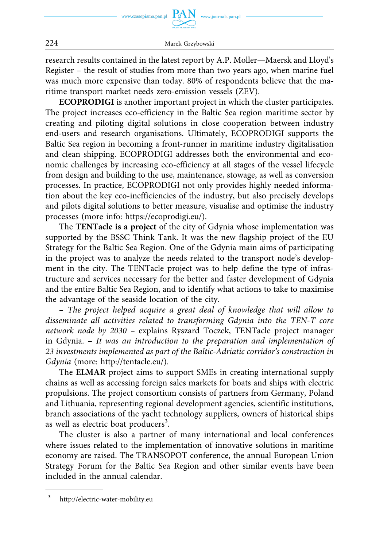

research results contained in the latest report by A.P. Moller—Maersk and Lloyd's Register – the result of studies from more than two years ago, when marine fuel was much more expensive than today. 80% of respondents believe that the maritime transport market needs zero-emission vessels (ZEV).

**ECOPRODIGI** is another important project in which the cluster participates. The project increases eco-efficiency in the Baltic Sea region maritime sector by creating and piloting digital solutions in close cooperation between industry end-users and research organisations. Ultimately, ECOPRODIGI supports the Baltic Sea region in becoming a front-runner in maritime industry digitalisation and clean shipping. ECOPRODIGI addresses both the environmental and economic challenges by increasing eco-efficiency at all stages of the vessel lifecycle from design and building to the use, maintenance, stowage, as well as conversion processes. In practice, ECOPRODIGI not only provides highly needed information about the key eco-inefficiencies of the industry, but also precisely develops and pilots digital solutions to better measure, visualise and optimise the industry processes (more info: [https://ecoprodigi.eu/\).](https://ecoprodigi.eu/))

The **TENTacle is a project** of the city of Gdynia whose implementation was supported by the BSSC Think Tank. It was the new flagship project of the EU Strategy for the Baltic Sea Region. One of the Gdynia main aims of participating in the project was to analyze the needs related to the transport node's development in the city. The TENTacle project was to help define the type of infrastructure and services necessary for the better and faster development of Gdynia and the entire Baltic Sea Region, and to identify what actions to take to maximise the advantage of the seaside location of the city.

– *The project helped acquire a great deal of knowledge that will allow to disseminate all activities related to transforming Gdynia into the TEN-T core network node by 2030 –* explains Ryszard Toczek, TENTacle project manager in Gdynia. – *It was an introduction to the preparation and implementation of 23 investments implemented as part of the Baltic-Adriatic corridor's construction in Gdynia* (more: [http://tentacle.eu/\).](http://tentacle.eu/)) 

The **ELMAR** project aims to support SMEs in creating international supply chains as well as accessing foreign sales markets for boats and ships with electric propulsions. The project consortium consists of partners from Germany, Poland and Lithuania, representing regional development agencies, scientific institutions, branch associations of the yacht technology suppliers, owners of historical ships as well as electric boat producers<sup>3</sup>.

The cluster is also a partner of many international and local conferences where issues related to the implementation of innovative solutions in maritime economy are raised. The TRANSOPOT conference, the annual European Union Strategy Forum for the Baltic Sea Region and other similar events have been included in the annual calendar.

<sup>3</sup> <http://electric-water-mobility.eu>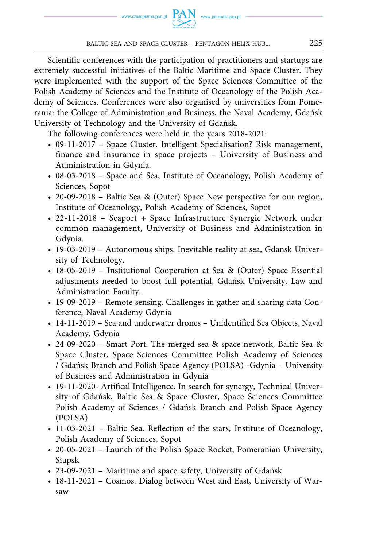Scientific conferences with the participation of practitioners and startups are extremely successful initiatives of the Baltic Maritime and Space Cluster. They were implemented with the support of the Space Sciences Committee of the Polish Academy of Sciences and the Institute of Oceanology of the Polish Academy of Sciences. Conferences were also organised by universities from Pomerania: the College of Administration and Business, the Naval Academy, Gdańsk University of Technology and the University of Gdańsk.

The following conferences were held in the years 2018-2021:

- 09-11-2017 Space Cluster. Intelligent Specialisation? Risk management, finance and insurance in space projects – University of Business and Administration in Gdynia.
- 08-03-2018 Space and Sea, Institute of Oceanology, Polish Academy of Sciences, Sopot
- 20-09-2018 Baltic Sea & (Outer) Space New perspective for our region, Institute of Oceanology, Polish Academy of Sciences, Sopot
- 22-11-2018 Seaport + Space Infrastructure Synergic Network under common management, University of Business and Administration in Gdynia.
- 19-03-2019 Autonomous ships. Inevitable reality at sea, Gdansk University of Technology.
- 18-05-2019 Institutional Cooperation at Sea & (Outer) Space Essential adjustments needed to boost full potential, Gdańsk University, Law and Administration Faculty.
- 19-09-2019 Remote sensing. Challenges in gather and sharing data Conference, Naval Academy Gdynia
- 14-11-2019 Sea and underwater drones Unidentified Sea Objects, Naval Academy, Gdynia
- 24-09-2020 Smart Port. The merged sea & space network, Baltic Sea & Space Cluster, Space Sciences Committee Polish Academy of Sciences / Gdańsk Branch and Polish Space Agency (POLSA) -Gdynia – University of Business and Administration in Gdynia
- 19-11-2020- Artifical Intelligence. In search for synergy, Technical University of Gdańsk, Baltic Sea & Space Cluster, Space Sciences Committee Polish Academy of Sciences / Gdańsk Branch and Polish Space Agency (POLSA)
- 11-03-2021 Baltic Sea. Reflection of the stars, Institute of Oceanology, Polish Academy of Sciences, Sopot
- 20-05-2021 Launch of the Polish Space Rocket, Pomeranian University, Słupsk
- 23-09-2021 Maritime and space safety, University of Gdańsk
- 18-11-2021 Cosmos. Dialog between West and East, University of Warsaw